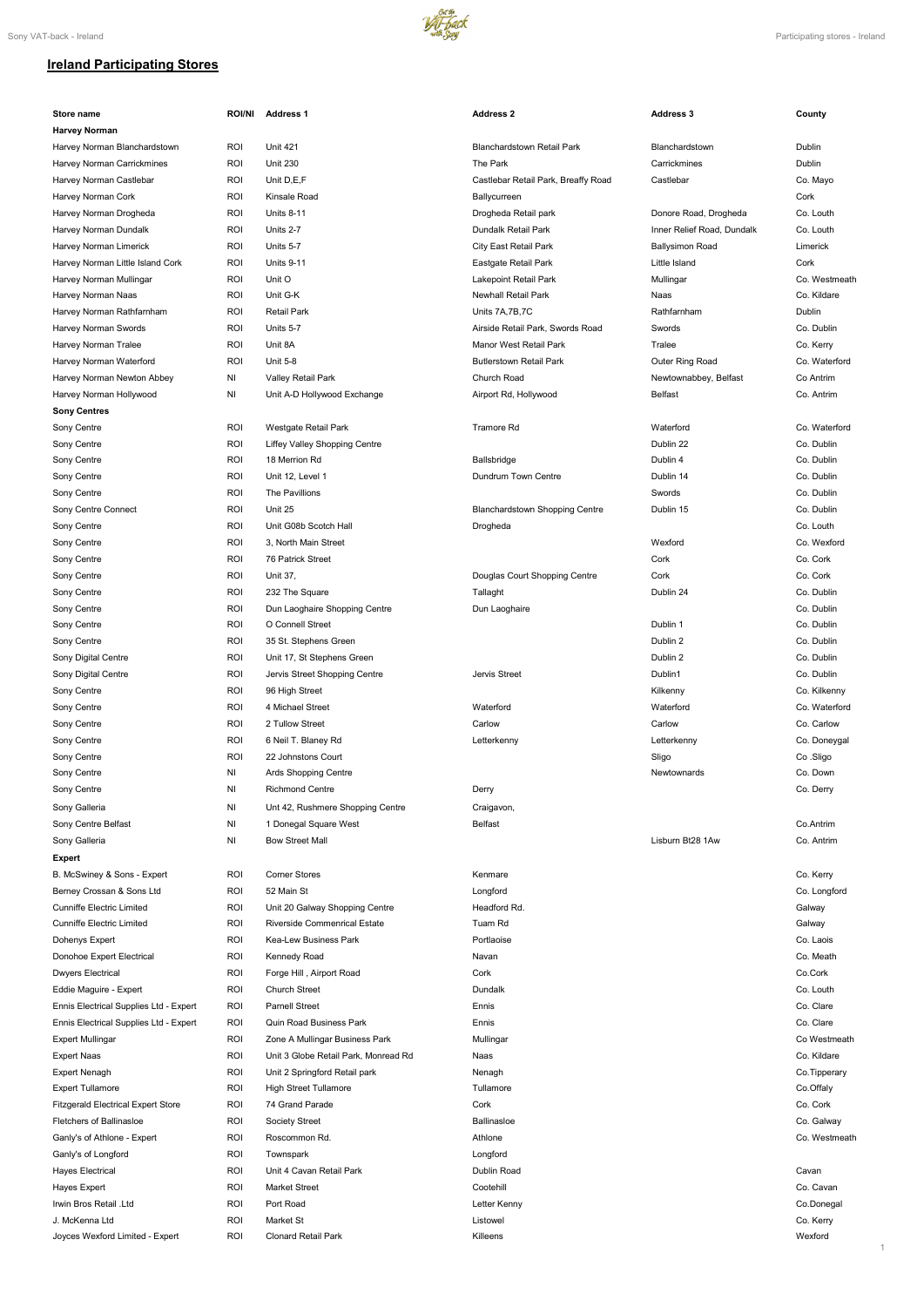

## **Ireland Participating Stores**

| Store name                                | <b>ROI/NI</b> | <b>Address 1</b>                                                      | <b>Address 2</b>                      | <b>Address 3</b>           | County                     |
|-------------------------------------------|---------------|-----------------------------------------------------------------------|---------------------------------------|----------------------------|----------------------------|
| <b>Harvey Norman</b>                      |               |                                                                       |                                       |                            |                            |
| Harvey Norman Blanchardstown              | ROI           | <b>Unit 421</b>                                                       | <b>Blanchardstown Retail Park</b>     | Blanchardstown             | Dublin                     |
| Harvey Norman Carrickmines                | <b>ROI</b>    | <b>Unit 230</b>                                                       | The Park                              | Carrickmines               | Dublin                     |
| Harvey Norman Castlebar                   | <b>ROI</b>    | Unit D,E,F                                                            | Castlebar Retail Park, Breaffy Road   | Castlebar                  | Co. Mayo                   |
| Harvey Norman Cork                        | <b>ROI</b>    | Kinsale Road                                                          | Ballycurreen                          |                            | Cork                       |
| Harvey Norman Drogheda                    | <b>ROI</b>    | <b>Units 8-11</b>                                                     | Drogheda Retail park                  | Donore Road, Drogheda      | Co. Louth                  |
| Harvey Norman Dundalk                     | <b>ROI</b>    | Units 2-7                                                             | Dundalk Retail Park                   | Inner Relief Road, Dundalk | Co. Louth                  |
| Harvey Norman Limerick                    | <b>ROI</b>    | Units 5-7                                                             | City East Retail Park                 | <b>Ballysimon Road</b>     | Limerick                   |
| Harvey Norman Little Island Cork          | <b>ROI</b>    | <b>Units 9-11</b>                                                     | Eastgate Retail Park                  | Little Island              | Cork                       |
| Harvey Norman Mullingar                   | <b>ROI</b>    | Unit O                                                                | Lakepoint Retail Park                 | Mullingar                  | Co. Westmeath              |
| Harvey Norman Naas                        | <b>ROI</b>    | Unit G-K                                                              | <b>Newhall Retail Park</b>            | Naas                       | Co. Kildare                |
| Harvey Norman Rathfarnham                 | <b>ROI</b>    | Retail Park                                                           | Units 7A, 7B, 7C                      | Rathfarnham                | Dublin                     |
| Harvey Norman Swords                      | <b>ROI</b>    | Units 5-7                                                             | Airside Retail Park, Swords Road      | Swords                     | Co. Dublin                 |
| Harvey Norman Tralee                      | <b>ROI</b>    | Unit 8A                                                               | Manor West Retail Park                | Tralee                     |                            |
|                                           |               | <b>Unit 5-8</b>                                                       | <b>Butlerstown Retail Park</b>        |                            | Co. Kerry<br>Co. Waterford |
| Harvey Norman Waterford                   | <b>ROI</b>    |                                                                       |                                       | Outer Ring Road            |                            |
| Harvey Norman Newton Abbey                | ΝI            | Valley Retail Park                                                    | Church Road                           | Newtownabbey, Belfast      | Co Antrim                  |
| Harvey Norman Hollywood                   | ΝI            | Unit A-D Hollywood Exchange                                           | Airport Rd, Hollywood                 | <b>Belfast</b>             | Co. Antrim                 |
| <b>Sony Centres</b>                       |               |                                                                       |                                       |                            |                            |
| Sony Centre                               | ROI           | Westgate Retail Park                                                  | Tramore Rd                            | Waterford                  | Co. Waterford              |
| Sony Centre                               | <b>ROI</b>    | Liffey Valley Shopping Centre                                         |                                       | Dublin 22                  | Co. Dublin                 |
| Sony Centre                               | <b>ROI</b>    | 18 Merrion Rd                                                         | <b>Ballsbridge</b>                    | Dublin 4                   | Co. Dublin                 |
| Sony Centre                               | <b>ROI</b>    | Unit 12, Level 1                                                      | Dundrum Town Centre                   | Dublin 14                  | Co. Dublin                 |
| Sony Centre                               | <b>ROI</b>    | The Pavillions                                                        |                                       | Swords                     | Co. Dublin                 |
| Sony Centre Connect                       | <b>ROI</b>    | Unit 25                                                               | <b>Blanchardstown Shopping Centre</b> | Dublin 15                  | Co. Dublin                 |
| Sony Centre                               | <b>ROI</b>    | Unit G08b Scotch Hall                                                 | Drogheda                              |                            | Co. Louth                  |
| Sony Centre                               | <b>ROI</b>    | 3, North Main Street                                                  |                                       | Wexford                    | Co. Wexford                |
| Sony Centre                               | <b>ROI</b>    | 76 Patrick Street                                                     |                                       | Cork                       | Co. Cork                   |
| Sony Centre                               | <b>ROI</b>    | Unit 37,                                                              | Douglas Court Shopping Centre         | Cork                       | Co. Cork                   |
| Sony Centre                               | roi           | 232 The Square                                                        | Tallaght                              | Dublin 24                  | Co. Dublin                 |
| Sony Centre                               | <b>ROI</b>    | Dun Laoghaire Shopping Centre                                         | Dun Laoghaire                         |                            | Co. Dublin                 |
| Sony Centre                               | ROI           | O Connell Street                                                      |                                       | Dublin 1                   | Co. Dublin                 |
| Sony Centre                               | <b>ROI</b>    | 35 St. Stephens Green                                                 |                                       | Dublin 2                   | Co. Dublin                 |
|                                           |               |                                                                       |                                       |                            |                            |
| Sony Digital Centre                       | <b>ROI</b>    | Unit 17, St Stephens Green                                            |                                       | Dublin 2                   | Co. Dublin                 |
| Sony Digital Centre                       | <b>ROI</b>    | Jervis Street Shopping Centre                                         | Jervis Street                         | Dublin1                    | Co. Dublin                 |
| Sony Centre                               | <b>ROI</b>    | 96 High Street                                                        |                                       | Kilkenny                   | Co. Kilkenny               |
| Sony Centre                               | <b>ROI</b>    | 4 Michael Street                                                      | Waterford                             | Waterford                  | Co. Waterford              |
| Sony Centre                               | <b>ROI</b>    | 2 Tullow Street                                                       | Carlow                                | Carlow                     | Co. Carlow                 |
| Sony Centre                               | <b>ROI</b>    | 6 Neil T. Blaney Rd                                                   | Letterkenny                           | Letterkenny                | Co. Doneygal               |
| Sony Centre                               | ROI           | 22 Johnstons Court                                                    |                                       | Sligo                      | Co.Sligo                   |
| Sony Centre                               | NI            | Ards Shopping Centre                                                  |                                       | Newtownards                | Co. Down                   |
| Sony Centre                               | NI            | <b>Richmond Centre</b>                                                | Derry                                 |                            | Co. Derry                  |
| Sony Galleria                             | NI            | Unt 42, Rushmere Shopping Centre                                      | Craigavon,                            |                            |                            |
| Sony Centre Belfast                       | NI            | 1 Donegal Square West                                                 | <b>Belfast</b>                        |                            | Co.Antrim                  |
| Sony Galleria                             | ΝI            | <b>Bow Street Mall</b>                                                |                                       | Lisburn Bt28 1Aw           | Co. Antrim                 |
| <b>Expert</b>                             |               |                                                                       |                                       |                            |                            |
| B. McSwiney & Sons - Expert               | <b>ROI</b>    | <b>Corner Stores</b>                                                  | Kenmare                               |                            | Co. Kerry                  |
|                                           | <b>ROI</b>    | 52 Main St                                                            |                                       |                            |                            |
| Berney Crossan & Sons Ltd                 |               |                                                                       | Longford                              |                            | Co. Longford               |
| <b>Cunniffe Electric Limited</b>          | <b>ROI</b>    | Unit 20 Galway Shopping Centre<br><b>Riverside Commenrical Estate</b> | Headford Rd.<br>Tuam Rd               |                            | Galway                     |
| <b>Cunniffe Electric Limited</b>          | <b>ROI</b>    |                                                                       |                                       |                            | Galway                     |
| Dohenys Expert                            | <b>ROI</b>    | Kea-Lew Business Park                                                 | Portlaoise                            |                            | Co. Laois                  |
| Donohoe Expert Electrical                 | <b>ROI</b>    | Kennedy Road                                                          | Navan                                 |                            | Co. Meath                  |
| <b>Dwyers Electrical</b>                  | <b>ROI</b>    | Forge Hill, Airport Road                                              | Cork                                  |                            | Co.Cork                    |
| Eddie Maguire - Expert                    | <b>ROI</b>    | <b>Church Street</b>                                                  | Dundalk                               |                            | Co. Louth                  |
| Ennis Electrical Supplies Ltd - Expert    | <b>ROI</b>    | <b>Parnell Street</b>                                                 | Ennis                                 |                            | Co. Clare                  |
| Ennis Electrical Supplies Ltd - Expert    | <b>ROI</b>    | <b>Quin Road Business Park</b>                                        | Ennis                                 |                            | Co. Clare                  |
| <b>Expert Mullingar</b>                   | <b>ROI</b>    | Zone A Mullingar Business Park                                        | Mullingar                             |                            | Co Westmeath               |
| <b>Expert Naas</b>                        | <b>ROI</b>    | Unit 3 Globe Retail Park, Monread Rd                                  | Naas                                  |                            | Co. Kildare                |
| <b>Expert Nenagh</b>                      | <b>ROI</b>    | Unit 2 Springford Retail park                                         | Nenagh                                |                            | Co.Tipperary               |
| <b>Expert Tullamore</b>                   | <b>ROI</b>    | High Street Tullamore                                                 | Tullamore                             |                            | Co.Offaly                  |
| <b>Fitzgerald Electrical Expert Store</b> | <b>ROI</b>    | 74 Grand Parade                                                       | Cork                                  |                            | Co. Cork                   |
| <b>Fletchers of Ballinasloe</b>           | <b>ROI</b>    | Society Street                                                        | <b>Ballinasloe</b>                    |                            | Co. Galway                 |
| Ganly's of Athlone - Expert               | <b>ROI</b>    | Roscommon Rd.                                                         | Athlone                               |                            | Co. Westmeath              |
| Ganly's of Longford                       | <b>ROI</b>    | Townspark                                                             | Longford                              |                            |                            |
| <b>Hayes Electrical</b>                   | <b>ROI</b>    | Unit 4 Cavan Retail Park                                              | Dublin Road                           |                            | Cavan                      |
| Hayes Expert                              | <b>ROI</b>    | <b>Market Street</b>                                                  | Cootehill                             |                            | Co. Cavan                  |
| Irwin Bros Retail .Ltd                    | <b>ROI</b>    | Port Road                                                             |                                       |                            |                            |
|                                           |               |                                                                       | Letter Kenny                          |                            | Co.Donegal                 |
| J. McKenna Ltd                            | <b>ROI</b>    | Market St                                                             | Listowel                              |                            | Co. Kerry                  |
| Joyces Wexford Limited - Expert           | <b>ROI</b>    | Clonard Retail Park                                                   | Killeens                              |                            | Wexford<br>1.              |
|                                           |               |                                                                       |                                       |                            |                            |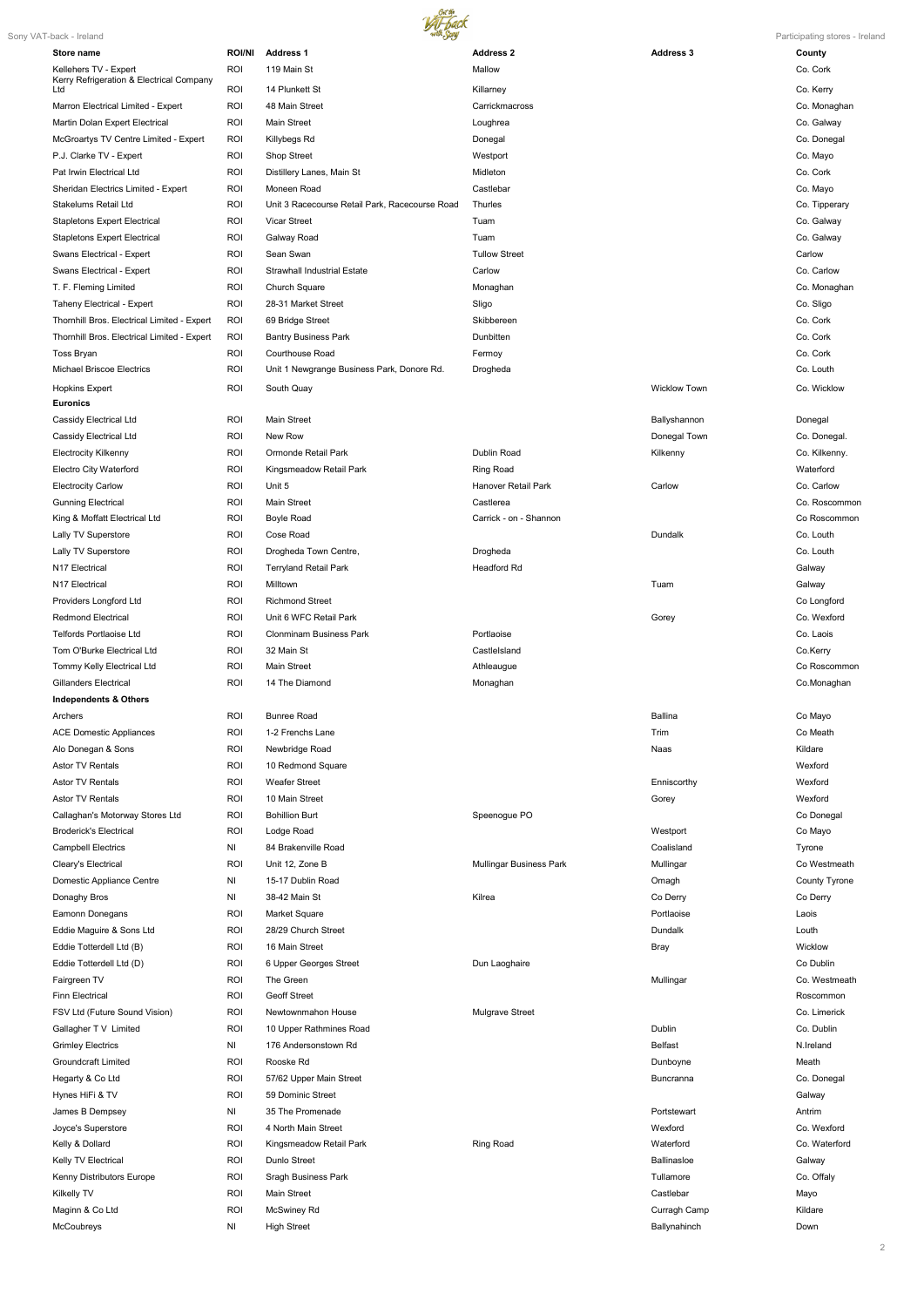

| Sony VAT-back - Ireland                                           |                  |                                                     |                         |                     | Participating stores - Ireland |
|-------------------------------------------------------------------|------------------|-----------------------------------------------------|-------------------------|---------------------|--------------------------------|
| Store name                                                        | <b>ROI/NI</b>    | <b>Address 1</b>                                    | <b>Address 2</b>        | <b>Address 3</b>    | County                         |
| Kellehers TV - Expert<br>Kerry Refrigeration & Electrical Company | ROI              | 119 Main St                                         | Mallow                  |                     | Co. Cork                       |
| Ltd                                                               | ROI              | 14 Plunkett St                                      | Killarney               |                     | Co. Kerry                      |
| Marron Electrical Limited - Expert                                | ROI              | 48 Main Street                                      | Carrickmacross          |                     | Co. Monaghan                   |
| Martin Dolan Expert Electrical                                    | <b>ROI</b>       | <b>Main Street</b>                                  | Loughrea                |                     | Co. Galway                     |
| McGroartys TV Centre Limited - Expert                             | <b>ROI</b>       | Killybegs Rd                                        | Donegal                 |                     | Co. Donegal                    |
| P.J. Clarke TV - Expert                                           | ROI              | Shop Street                                         | Westport                |                     | Co. Mayo                       |
| Pat Irwin Electrical Ltd                                          | ROI              | Distillery Lanes, Main St                           | Midleton                |                     | Co. Cork                       |
| Sheridan Electrics Limited - Expert                               | ROI              | Moneen Road                                         | Castlebar               |                     | Co. Mayo                       |
| Stakelums Retail Ltd                                              | ROI              | Unit 3 Racecourse Retail Park, Racecourse Road      | Thurles                 |                     | Co. Tipperary                  |
| <b>Stapletons Expert Electrical</b>                               | ROI              | Vicar Street                                        | Tuam                    |                     | Co. Galway                     |
| <b>Stapletons Expert Electrical</b>                               | ROI              | Galway Road                                         | Tuam                    |                     | Co. Galway                     |
| Swans Electrical - Expert                                         | <b>ROI</b>       | Sean Swan                                           | <b>Tullow Street</b>    |                     | Carlow                         |
| Swans Electrical - Expert<br>T. F. Fleming Limited                | ROI<br>ROI       | <b>Strawhall Industrial Estate</b><br>Church Square | Carlow                  |                     | Co. Carlow<br>Co. Monaghan     |
| Taheny Electrical - Expert                                        | ROI              | 28-31 Market Street                                 | Monaghan<br>Sligo       |                     | Co. Sligo                      |
| Thornhill Bros. Electrical Limited - Expert                       | <b>ROI</b>       | 69 Bridge Street                                    | Skibbereen              |                     | Co. Cork                       |
| Thornhill Bros. Electrical Limited - Expert                       | <b>ROI</b>       | <b>Bantry Business Park</b>                         | Dunbitten               |                     | Co. Cork                       |
| Toss Bryan                                                        | ROI              | <b>Courthouse Road</b>                              | Fermoy                  |                     | Co. Cork                       |
| <b>Michael Briscoe Electrics</b>                                  | ROI              | Unit 1 Newgrange Business Park, Donore Rd.          | Drogheda                |                     | Co. Louth                      |
| <b>Hopkins Expert</b>                                             | ROI              | South Quay                                          |                         | <b>Wicklow Town</b> | Co. Wicklow                    |
| <b>Euronics</b>                                                   |                  |                                                     |                         |                     |                                |
| Cassidy Electrical Ltd                                            | ROI              | <b>Main Street</b>                                  |                         | Ballyshannon        | Donegal                        |
| Cassidy Electrical Ltd                                            | ROI              | New Row                                             |                         | Donegal Town        | Co. Donegal.                   |
| <b>Electrocity Kilkenny</b>                                       | <b>ROI</b>       | Ormonde Retail Park                                 | Dublin Road             | Kilkenny            | Co. Kilkenny.                  |
| <b>Electro City Waterford</b>                                     | ROI              | Kingsmeadow Retail Park                             | Ring Road               |                     | Waterford                      |
| <b>Electrocity Carlow</b>                                         | ROI              | Unit 5                                              | Hanover Retail Park     | Carlow              | Co. Carlow                     |
| <b>Gunning Electrical</b>                                         | <b>ROI</b>       | Main Street                                         | Castlerea               |                     | Co. Roscommon                  |
| King & Moffatt Electrical Ltd                                     | ROI              | <b>Boyle Road</b>                                   | Carrick - on - Shannon  |                     | Co Roscommon                   |
| Lally TV Superstore                                               | ROI              | Cose Road                                           |                         | Dundalk             | Co. Louth                      |
| Lally TV Superstore                                               | ROI              | Drogheda Town Centre,                               | Drogheda                |                     | Co. Louth                      |
| N17 Electrical                                                    | <b>ROI</b>       | <b>Terryland Retail Park</b>                        | <b>Headford Rd</b>      |                     | Galway                         |
| N17 Electrical                                                    | ROI              | Milltown                                            |                         | Tuam                | Galway                         |
| Providers Longford Ltd                                            | ROI              | <b>Richmond Street</b>                              |                         |                     | Co Longford                    |
| <b>Redmond Electrical</b>                                         | ROI              | Unit 6 WFC Retail Park                              |                         | Gorey               | Co. Wexford                    |
| Telfords Portlaoise Ltd                                           | <b>ROI</b>       | <b>Clonminam Business Park</b>                      | Portlaoise              |                     | Co. Laois                      |
| Tom O'Burke Electrical Ltd                                        | <b>ROI</b>       | 32 Main St                                          | CastleIsland            |                     | Co.Kerry                       |
| Tommy Kelly Electrical Ltd                                        | ROI              | <b>Main Street</b>                                  | Athleaugue              |                     | Co Roscommon                   |
| <b>Gillanders Electrical</b>                                      | ROI              | 14 The Diamond                                      | Monaghan                |                     | Co.Monaghan                    |
| <b>Independents &amp; Others</b>                                  |                  |                                                     |                         |                     |                                |
| Archers                                                           | ROI              | <b>Bunree Road</b>                                  |                         | Ballina             | Co Mayo                        |
| <b>ACE Domestic Appliances</b>                                    | ROI              | 1-2 Frenchs Lane                                    |                         | Trim                | Co Meath                       |
| Alo Donegan & Sons                                                | ROI              | Newbridge Road                                      |                         | Naas                | Kildare                        |
| Astor TV Rentals                                                  | <b>ROI</b>       | 10 Redmond Square                                   |                         |                     | Wexford                        |
| Astor TV Rentals                                                  | ROI              | <b>Weafer Street</b>                                |                         | Enniscorthy         | Wexford                        |
| Astor TV Rentals                                                  | ROI              | 10 Main Street                                      |                         | Gorey               | Wexford                        |
| Callaghan's Motorway Stores Ltd                                   | ROI              | <b>Bohillion Burt</b>                               | Speenogue PO            |                     | Co Donegal                     |
| <b>Broderick's Electrical</b>                                     | <b>ROI</b>       | Lodge Road                                          |                         | Westport            | Co Mayo                        |
| <b>Campbell Electrics</b>                                         | NI               | 84 Brakenville Road                                 |                         | Coalisland          | Tyrone<br>Co Westmeath         |
| Cleary's Electrical<br>Domestic Appliance Centre                  | <b>ROI</b><br>NI | Unit 12, Zone B<br>15-17 Dublin Road                | Mullingar Business Park | Mullingar<br>Omagh  | County Tyrone                  |
| Donaghy Bros                                                      | NI               | 38-42 Main St                                       | Kilrea                  | Co Derry            | Co Derry                       |
| Eamonn Donegans                                                   | ROI              | Market Square                                       |                         | Portlaoise          | Laois                          |
| Eddie Maguire & Sons Ltd                                          | ROI              | 28/29 Church Street                                 |                         | Dundalk             | Louth                          |
| Eddie Totterdell Ltd (B)                                          | ROI              | 16 Main Street                                      |                         | <b>Bray</b>         | Wicklow                        |
| Eddie Totterdell Ltd (D)                                          | <b>ROI</b>       | 6 Upper Georges Street                              | Dun Laoghaire           |                     | Co Dublin                      |
| Fairgreen TV                                                      | ROI              | The Green                                           |                         | Mullingar           | Co. Westmeath                  |
| Finn Electrical                                                   | <b>ROI</b>       | Geoff Street                                        |                         |                     | Roscommon                      |
| FSV Ltd (Future Sound Vision)                                     | ROI              | Newtownmahon House                                  | Mulgrave Street         |                     | Co. Limerick                   |
| Gallagher T V Limited                                             | ROI              | 10 Upper Rathmines Road                             |                         | Dublin              | Co. Dublin                     |
| <b>Grimley Electrics</b>                                          | NI               | 176 Andersonstown Rd                                |                         | <b>Belfast</b>      | N.Ireland                      |
| <b>Groundcraft Limited</b>                                        | ROI              | Rooske Rd                                           |                         | Dunboyne            | Meath                          |
| Hegarty & Co Ltd                                                  | ROI              | 57/62 Upper Main Street                             |                         | Buncranna           | Co. Donegal                    |
| Hynes HiFi & TV                                                   | ROI              | 59 Dominic Street                                   |                         |                     | Galway                         |
| James B Dempsey                                                   | NI               | 35 The Promenade                                    |                         | Portstewart         | Antrim                         |
| Joyce's Superstore                                                | ROI              | 4 North Main Street                                 |                         | Wexford             | Co. Wexford                    |
| Kelly & Dollard                                                   | ROI              | Kingsmeadow Retail Park                             | Ring Road               | Waterford           | Co. Waterford                  |
| Kelly TV Electrical                                               | ROI              | Dunlo Street                                        |                         | Ballinasloe         | Galway                         |
| Kenny Distributors Europe                                         | ROI              | Sragh Business Park                                 |                         | Tullamore           | Co. Offaly                     |
| Kilkelly TV                                                       | ROI              | Main Street                                         |                         | Castlebar           | Mayo                           |
| Maginn & Co Ltd                                                   | ROI              | McSwiney Rd                                         |                         | Curragh Camp        | Kildare                        |
| McCoubreys                                                        | NI               | <b>High Street</b>                                  |                         | Ballynahinch        | Down                           |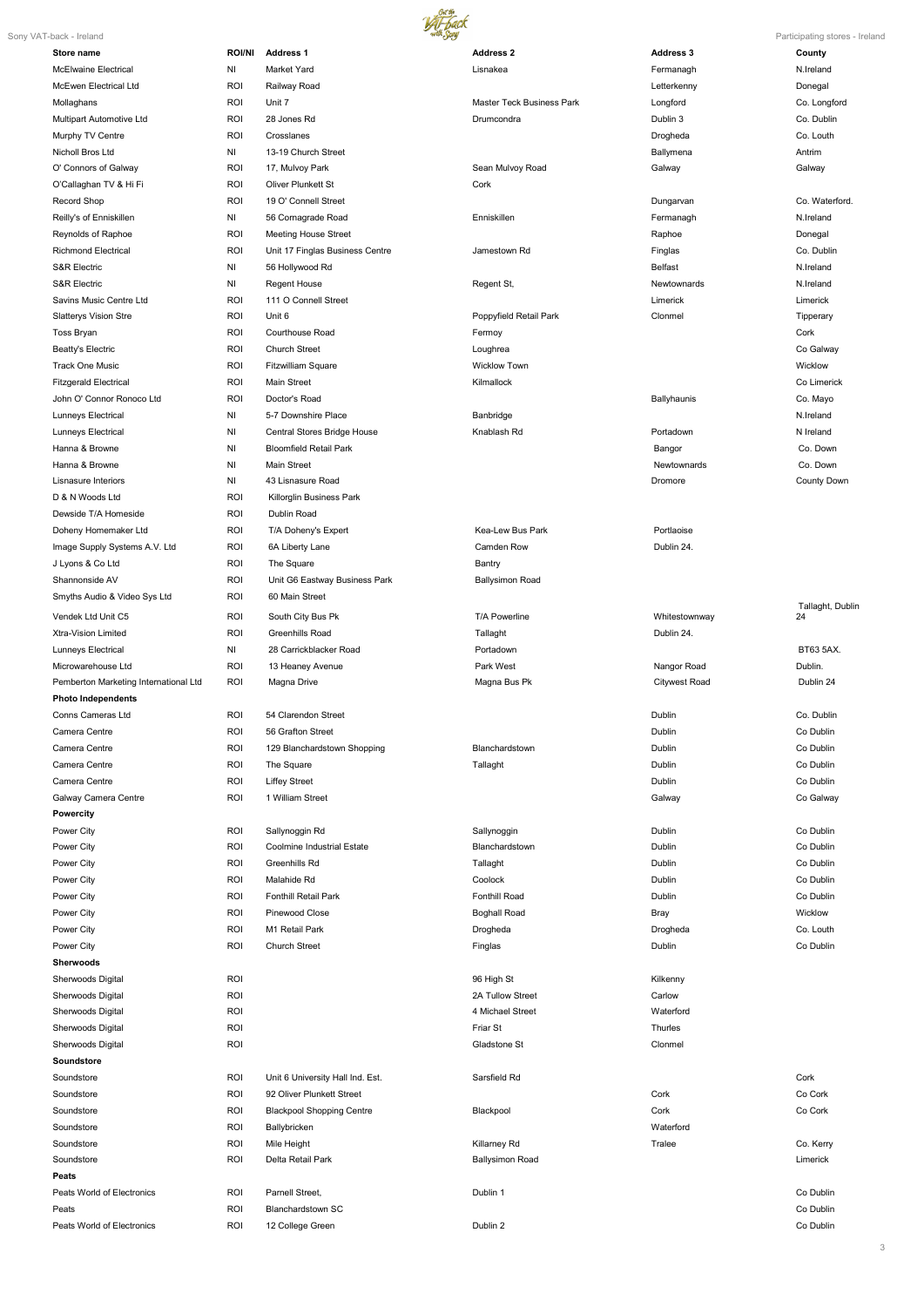3



| и<br>m |
|--------|
|        |

|                                       |               |                                   |                           |                      | i annoipamig otoroo iroia |
|---------------------------------------|---------------|-----------------------------------|---------------------------|----------------------|---------------------------|
| Store name                            | <b>ROI/NI</b> | <b>Address 1</b>                  | <b>Address 2</b>          | <b>Address 3</b>     | County                    |
| McElwaine Electrical                  | NI            | Market Yard                       | Lisnakea                  | Fermanagh            | N.Ireland                 |
| McEwen Electrical Ltd                 | <b>ROI</b>    | Railway Road                      |                           | Letterkenny          | Donegal                   |
| Mollaghans                            | <b>ROI</b>    | Unit 7                            | Master Teck Business Park | Longford             | Co. Longford              |
| Multipart Automotive Ltd              | <b>ROI</b>    | 28 Jones Rd                       | Drumcondra                | Dublin 3             | Co. Dublin                |
| Murphy TV Centre                      | ROI           | Crosslanes                        |                           | Drogheda             | Co. Louth                 |
| Nicholl Bros Ltd                      | NI            | 13-19 Church Street               |                           | Ballymena            | Antrim                    |
| O' Connors of Galway                  | <b>ROI</b>    | 17, Mulvoy Park                   | Sean Mulvoy Road          | Galway               | Galway                    |
| O'Callaghan TV & Hi Fi                | <b>ROI</b>    | Oliver Plunkett St                | Cork                      |                      |                           |
| Record Shop                           | <b>ROI</b>    | 19 O' Connell Street              |                           | Dungarvan            | Co. Waterford.            |
| Reilly's of Enniskillen               | NI            | 56 Cornagrade Road                | Enniskillen               | Fermanagh            | N.Ireland                 |
| Reynolds of Raphoe                    | <b>ROI</b>    | <b>Meeting House Street</b>       |                           | Raphoe               | Donegal                   |
| <b>Richmond Electrical</b>            | <b>ROI</b>    | Unit 17 Finglas Business Centre   | Jamestown Rd              | Finglas              | Co. Dublin                |
| <b>S&amp;R Electric</b>               | NI            | 56 Hollywood Rd                   |                           | <b>Belfast</b>       | N.Ireland                 |
| <b>S&amp;R Electric</b>               | NI            | <b>Regent House</b>               | Regent St,                | Newtownards          | N.Ireland                 |
| Savins Music Centre Ltd               | <b>ROI</b>    | 111 O Connell Street              |                           | Limerick             | Limerick                  |
| <b>Slatterys Vision Stre</b>          | <b>ROI</b>    | Unit 6                            | Poppyfield Retail Park    | Clonmel              | Tipperary                 |
| <b>Toss Bryan</b>                     | <b>ROI</b>    | Courthouse Road                   | Fermoy                    |                      | Cork                      |
| Beatty's Electric                     | <b>ROI</b>    | <b>Church Street</b>              | Loughrea                  |                      | Co Galway                 |
| <b>Track One Music</b>                | <b>ROI</b>    | <b>Fitzwilliam Square</b>         | <b>Wicklow Town</b>       |                      | Wicklow                   |
| <b>Fitzgerald Electrical</b>          | <b>ROI</b>    | Main Street                       | Kilmallock                |                      | Co Limerick               |
| John O' Connor Ronoco Ltd             | <b>ROI</b>    | Doctor's Road                     |                           | Ballyhaunis          | Co. Mayo                  |
| Lunneys Electrical                    | NI            | 5-7 Downshire Place               | Banbridge                 |                      | N.Ireland                 |
| Lunneys Electrical                    | ΝI            | Central Stores Bridge House       | Knablash Rd               | Portadown            | N Ireland                 |
| Hanna & Browne                        | ΝI            | <b>Bloomfield Retail Park</b>     |                           | Bangor               | Co. Down                  |
| Hanna & Browne                        | NI            | <b>Main Street</b>                |                           | Newtownards          | Co. Down                  |
| Lisnasure Interiors                   | NI            | 43 Lisnasure Road                 |                           | Dromore              | County Down               |
| D & N Woods Ltd                       | ROI           | Killorglin Business Park          |                           |                      |                           |
| Dewside T/A Homeside                  | ROI           | Dublin Road                       |                           |                      |                           |
| Doheny Homemaker Ltd                  | <b>ROI</b>    | T/A Doheny's Expert               | Kea-Lew Bus Park          | Portlaoise           |                           |
| Image Supply Systems A.V. Ltd         | <b>ROI</b>    | 6A Liberty Lane                   | Camden Row                | Dublin 24.           |                           |
| J Lyons & Co Ltd                      | ROI           | The Square                        | Bantry                    |                      |                           |
| Shannonside AV                        | ROI           | Unit G6 Eastway Business Park     | <b>Ballysimon Road</b>    |                      |                           |
| Smyths Audio & Video Sys Ltd          | ROI           | 60 Main Street                    |                           |                      |                           |
|                                       |               |                                   |                           |                      | Tallaght, Dublin          |
| Vendek Ltd Unit C5                    | ROI           | South City Bus Pk                 | T/A Powerline             | Whitestownway        | 24                        |
| Xtra-Vision Limited                   | ROI           | <b>Greenhills Road</b>            | Tallaght                  | Dublin 24.           |                           |
| Lunneys Electrical                    | NI            | 28 Carrickblacker Road            | Portadown                 |                      | BT63 5AX.                 |
| Microwarehouse Ltd                    | ROI           | 13 Heaney Avenue                  | Park West                 | Nangor Road          | Dublin.                   |
| Pemberton Marketing International Ltd | ROI           | Magna Drive                       | Magna Bus Pk              | <b>Citywest Road</b> | Dublin 24                 |
| <b>Photo Independents</b>             |               |                                   |                           |                      |                           |
| Conns Cameras Ltd                     | ROI           | 54 Clarendon Street               |                           | Dublin               | Co. Dublin                |
| Camera Centre                         | ROI           | 56 Grafton Street                 |                           | Dublin               | Co Dublin                 |
| Camera Centre                         | ROI           | 129 Blanchardstown Shopping       | Blanchardstown            | Dublin               | Co Dublin                 |
| Camera Centre                         | ROI           | The Square                        | Tallaght                  | Dublin               | Co Dublin                 |
| Camera Centre                         | ROI           | <b>Liffey Street</b>              |                           | Dublin               | Co Dublin                 |
| Galway Camera Centre                  | ROI           | 1 William Street                  |                           | Galway               | Co Galway                 |
| Powercity                             |               |                                   |                           |                      |                           |
| Power City                            | ROI           | Sallynoggin Rd                    | Sallynoggin               | Dublin               | Co Dublin                 |
| Power City                            | ROI           | <b>Coolmine Industrial Estate</b> | Blanchardstown            | Dublin               | Co Dublin                 |
| Power City                            | ROI           | Greenhills Rd                     | Tallaght                  | Dublin               | Co Dublin                 |
| Power City                            | ROI           | Malahide Rd                       | Coolock                   | Dublin               | Co Dublin                 |
| Power City                            | ROI           | Fonthill Retail Park              | Fonthill Road             | Dublin               | Co Dublin                 |
| Power City                            | ROI           | Pinewood Close                    | <b>Boghall Road</b>       | Bray                 | Wicklow                   |
| Power City                            | ROI           | M1 Retail Park                    | Drogheda                  | Drogheda             | Co. Louth                 |
| Power City                            | ROI           | Church Street                     | Finglas                   | Dublin               | Co Dublin                 |
|                                       |               |                                   |                           |                      |                           |

| Sherwoods Digital          | <b>ROI</b> |                                  | 2A Tullow Street       | Carlow    |           |
|----------------------------|------------|----------------------------------|------------------------|-----------|-----------|
| Sherwoods Digital          | <b>ROI</b> |                                  | 4 Michael Street       | Waterford |           |
| Sherwoods Digital          | <b>ROI</b> |                                  | Friar St               | Thurles   |           |
| Sherwoods Digital          | <b>ROI</b> |                                  | Gladstone St           | Clonmel   |           |
| Soundstore                 |            |                                  |                        |           |           |
| Soundstore                 | <b>ROI</b> | Unit 6 University Hall Ind. Est. | Sarsfield Rd           |           | Cork      |
| Soundstore                 | <b>ROI</b> | 92 Oliver Plunkett Street        |                        | Cork      | Co Cork   |
| Soundstore                 | ROI        | <b>Blackpool Shopping Centre</b> | Blackpool              | Cork      | Co Cork   |
| Soundstore                 | <b>ROI</b> | Ballybricken                     |                        | Waterford |           |
| Soundstore                 | <b>ROI</b> | Mile Height                      | Killarney Rd           | Tralee    | Co. Kerry |
| Soundstore                 | <b>ROI</b> | Delta Retail Park                | <b>Ballysimon Road</b> |           | Limerick  |
| Peats                      |            |                                  |                        |           |           |
| Peats World of Electronics | <b>ROI</b> | Parnell Street,                  | Dublin 1               |           | Co Dublin |
| Peats                      | <b>ROI</b> | <b>Blanchardstown SC</b>         |                        |           | Co Dublin |
| Peats World of Electronics | <b>ROI</b> | 12 College Green                 | Dublin 2               |           | Co Dublin |

Sherwoods Digital ROI 96 High St Kilkenny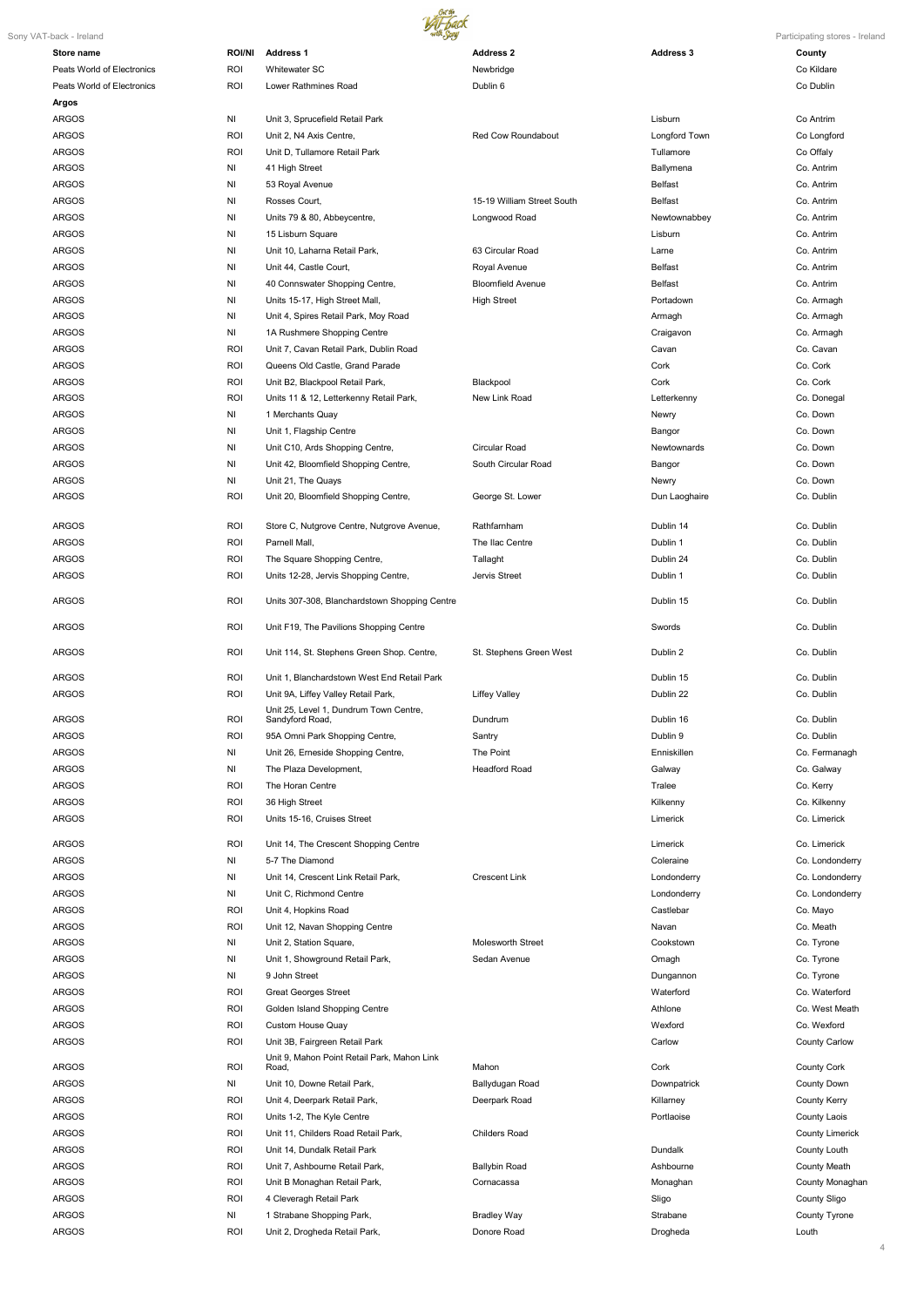

4

| Sony VAT-back - Ireland    |                | with Sory                                                 |                            |                    | Participating stores - Ireland |
|----------------------------|----------------|-----------------------------------------------------------|----------------------------|--------------------|--------------------------------|
| Store name                 | <b>ROI/NI</b>  | <b>Address 1</b>                                          | <b>Address 2</b>           | <b>Address 3</b>   | County                         |
| Peats World of Electronics | <b>ROI</b>     | Whitewater SC                                             | Newbridge                  |                    | Co Kildare                     |
| Peats World of Electronics | <b>ROI</b>     | Lower Rathmines Road                                      | Dublin 6                   |                    | Co Dublin                      |
| <b>Argos</b>               |                |                                                           |                            |                    |                                |
| <b>ARGOS</b>               | NI             | Unit 3, Sprucefield Retail Park                           |                            | Lisburn            | Co Antrim                      |
|                            |                |                                                           |                            |                    |                                |
| <b>ARGOS</b>               | ROI            | Unit 2, N4 Axis Centre,                                   | Red Cow Roundabout         | Longford Town      | Co Longford                    |
| <b>ARGOS</b>               | <b>ROI</b>     | Unit D. Tullamore Retail Park                             |                            | Tullamore          | Co Offaly                      |
| <b>ARGOS</b>               | ΝI             | 41 High Street                                            |                            | Ballymena          | Co. Antrim                     |
| <b>ARGOS</b>               | ΝI             | 53 Royal Avenue                                           |                            | <b>Belfast</b>     | Co. Antrim                     |
| <b>ARGOS</b>               | ΝI             | Rosses Court,                                             | 15-19 William Street South | <b>Belfast</b>     | Co. Antrim                     |
| <b>ARGOS</b>               | ΝI             | Units 79 & 80, Abbeycentre,                               | Longwood Road              | Newtownabbey       | Co. Antrim                     |
| <b>ARGOS</b>               | ΝI             | 15 Lisburn Square                                         |                            | Lisburn            | Co. Antrim                     |
| <b>ARGOS</b>               | ΝI             | Unit 10, Laharna Retail Park,                             | 63 Circular Road           | Larne              | Co. Antrim                     |
| <b>ARGOS</b>               | ΝI             | Unit 44, Castle Court,                                    | Royal Avenue               | <b>Belfast</b>     | Co. Antrim                     |
| <b>ARGOS</b>               | ΝI             | 40 Connswater Shopping Centre,                            | <b>Bloomfield Avenue</b>   | <b>Belfast</b>     | Co. Antrim                     |
| <b>ARGOS</b>               | ΝI             | Units 15-17, High Street Mall,                            | <b>High Street</b>         | Portadown          | Co. Armagh                     |
| <b>ARGOS</b>               | ΝI             |                                                           |                            | Armagh             | Co. Armagh                     |
|                            |                | Unit 4, Spires Retail Park, Moy Road                      |                            |                    |                                |
| <b>ARGOS</b>               | NI             | 1A Rushmere Shopping Centre                               |                            | Craigavon          | Co. Armagh                     |
| <b>ARGOS</b>               | <b>ROI</b>     | Unit 7, Cavan Retail Park, Dublin Road                    |                            | Cavan              | Co. Cavan                      |
| <b>ARGOS</b>               | ROI            | Queens Old Castle, Grand Parade                           |                            | Cork               | Co. Cork                       |
| <b>ARGOS</b>               | <b>ROI</b>     | Unit B2, Blackpool Retail Park,                           | Blackpool                  | Cork               | Co. Cork                       |
| <b>ARGOS</b>               | ROI            | Units 11 & 12, Letterkenny Retail Park,                   | New Link Road              | Letterkenny        | Co. Donegal                    |
| <b>ARGOS</b>               | NI             | 1 Merchants Quay                                          |                            | Newry              | Co. Down                       |
| <b>ARGOS</b>               | NI             | Unit 1, Flagship Centre                                   |                            | Bangor             | Co. Down                       |
| <b>ARGOS</b>               | NI             | Unit C10, Ards Shopping Centre,                           | Circular Road              | <b>Newtownards</b> | Co. Down                       |
| <b>ARGOS</b>               | NI             | Unit 42, Bloomfield Shopping Centre,                      | South Circular Road        | Bangor             | Co. Down                       |
| <b>ARGOS</b>               | NI             | Unit 21, The Quays                                        |                            | Newry              | Co. Down                       |
| <b>ARGOS</b>               |                |                                                           |                            |                    |                                |
|                            | <b>ROI</b>     | Unit 20, Bloomfield Shopping Centre,                      | George St. Lower           | Dun Laoghaire      | Co. Dublin                     |
| <b>ARGOS</b>               | ROI            | Store C, Nutgrove Centre, Nutgrove Avenue,                | Rathfarnham                | Dublin 14          | Co. Dublin                     |
| <b>ARGOS</b>               |                |                                                           | The Ilac Centre            | Dublin 1           | Co. Dublin                     |
|                            | ROI            | Parnell Mall,                                             |                            |                    |                                |
| <b>ARGOS</b>               | ROI            | The Square Shopping Centre,                               | Tallaght                   | Dublin 24          | Co. Dublin                     |
| <b>ARGOS</b>               | ROI            | Units 12-28, Jervis Shopping Centre,                      | Jervis Street              | Dublin 1           | Co. Dublin                     |
| <b>ARGOS</b>               | ROI            | Units 307-308, Blanchardstown Shopping Centre             |                            | Dublin 15          | Co. Dublin                     |
| <b>ARGOS</b>               | ROI            | Unit F19, The Pavilions Shopping Centre                   |                            | Swords             | Co. Dublin                     |
| <b>ARGOS</b>               | ROI            | Unit 114, St. Stephens Green Shop. Centre,                | St. Stephens Green West    | Dublin 2           | Co. Dublin                     |
| <b>ARGOS</b>               | ROI            | Unit 1, Blanchardstown West End Retail Park               |                            | Dublin 15          | Co. Dublin                     |
|                            |                |                                                           |                            |                    |                                |
| <b>ARGOS</b>               | ROI            | Unit 9A, Liffey Valley Retail Park,                       | <b>Liffey Valley</b>       | Dublin 22          | Co. Dublin                     |
| <b>ARGOS</b>               | ROI            | Unit 25, Level 1, Dundrum Town Centre,<br>Sandyford Road, | Dundrum                    | Dublin 16          | Co. Dublin                     |
| <b>ARGOS</b>               | <b>ROI</b>     | 95A Omni Park Shopping Centre,                            | Santry                     | Dublin 9           | Co. Dublin                     |
| <b>ARGOS</b>               | N <sub>1</sub> | Unit 26, Erneside Shopping Centre,                        | The Point                  | Enniskillen        | Co. Fermanagh                  |
| <b>ARGOS</b>               | N <sub>1</sub> | The Plaza Development,                                    | <b>Headford Road</b>       | Galway             | Co. Galway                     |
|                            | <b>ROI</b>     | The Horan Centre                                          |                            |                    |                                |
| <b>ARGOS</b>               |                |                                                           |                            | Tralee             | Co. Kerry                      |
| <b>ARGOS</b>               | <b>ROI</b>     | 36 High Street                                            |                            | Kilkenny           | Co. Kilkenny                   |
| <b>ARGOS</b>               | ROI            | Units 15-16, Cruises Street                               |                            | Limerick           | Co. Limerick                   |
| <b>ARGOS</b>               | ROI            | Unit 14, The Crescent Shopping Centre                     |                            | Limerick           | Co. Limerick                   |
| <b>ARGOS</b>               | NI             | 5-7 The Diamond                                           |                            | Coleraine          | Co. Londonderry                |
| <b>ARGOS</b>               | NI             | Unit 14, Crescent Link Retail Park,                       | <b>Crescent Link</b>       | Londonderry        | Co. Londonderry                |
|                            |                |                                                           |                            |                    |                                |
| <b>ARGOS</b>               | NI             | Unit C, Richmond Centre                                   |                            | Londonderry        | Co. Londonderry                |
| <b>ARGOS</b>               | ROI            | Unit 4, Hopkins Road                                      |                            | Castlebar          | Co. Mayo                       |
| <b>ARGOS</b>               | <b>ROI</b>     | Unit 12, Navan Shopping Centre                            |                            | Navan              | Co. Meath                      |
| <b>ARGOS</b>               | NI             | Unit 2, Station Square,                                   | <b>Molesworth Street</b>   | Cookstown          | Co. Tyrone                     |
| <b>ARGOS</b>               | NI             | Unit 1, Showground Retail Park,                           | Sedan Avenue               | Omagh              | Co. Tyrone                     |
| <b>ARGOS</b>               | NI             | 9 John Street                                             |                            | Dungannon          | Co. Tyrone                     |
| <b>ARGOS</b>               | ROI            | <b>Great Georges Street</b>                               |                            | Waterford          | Co. Waterford                  |
| <b>ARGOS</b>               | ROI            | Golden Island Shopping Centre                             |                            | Athlone            | Co. West Meath                 |
| <b>ARGOS</b>               | ROI            | Custom House Quay                                         |                            | Wexford            | Co. Wexford                    |
| <b>ARGOS</b>               | ROI            | Unit 3B, Fairgreen Retail Park                            |                            | Carlow             | <b>County Carlow</b>           |
|                            |                | Unit 9, Mahon Point Retail Park, Mahon Link               |                            |                    |                                |
| <b>ARGOS</b>               | ROI            | Road,                                                     | Mahon                      | Cork               | <b>County Cork</b>             |
| <b>ARGOS</b>               | NI             | Unit 10, Downe Retail Park,                               | Ballydugan Road            | Downpatrick        | County Down                    |
| <b>ARGOS</b>               | <b>ROI</b>     | Unit 4, Deerpark Retail Park,                             | Deerpark Road              | Killarney          | <b>County Kerry</b>            |
| <b>ARGOS</b>               | ROI            | Units 1-2, The Kyle Centre                                |                            | Portlaoise         | County Laois                   |
| <b>ARGOS</b>               | ROI            | Unit 11, Childers Road Retail Park,                       | Childers Road              |                    | <b>County Limerick</b>         |
| <b>ARGOS</b>               | ROI            | Unit 14, Dundalk Retail Park                              |                            | Dundalk            | County Louth                   |
| <b>ARGOS</b>               | <b>ROI</b>     | Unit 7, Ashbourne Retail Park,                            | <b>Ballybin Road</b>       | Ashbourne          | <b>County Meath</b>            |
| <b>ARGOS</b>               | ROI            | Unit B Monaghan Retail Park,                              | Cornacassa                 | Monaghan           | County Monaghan                |
|                            |                | 4 Cleveragh Retail Park                                   |                            |                    |                                |
| <b>ARGOS</b>               | <b>ROI</b>     |                                                           |                            | Sligo              | <b>County Sligo</b>            |
| <b>ARGOS</b>               | NI             | 1 Strabane Shopping Park,                                 | <b>Bradley Way</b>         | Strabane           | County Tyrone                  |
| <b>ARGOS</b>               | ROI            | Unit 2, Drogheda Retail Park,                             | Donore Road                | Drogheda           | Louth                          |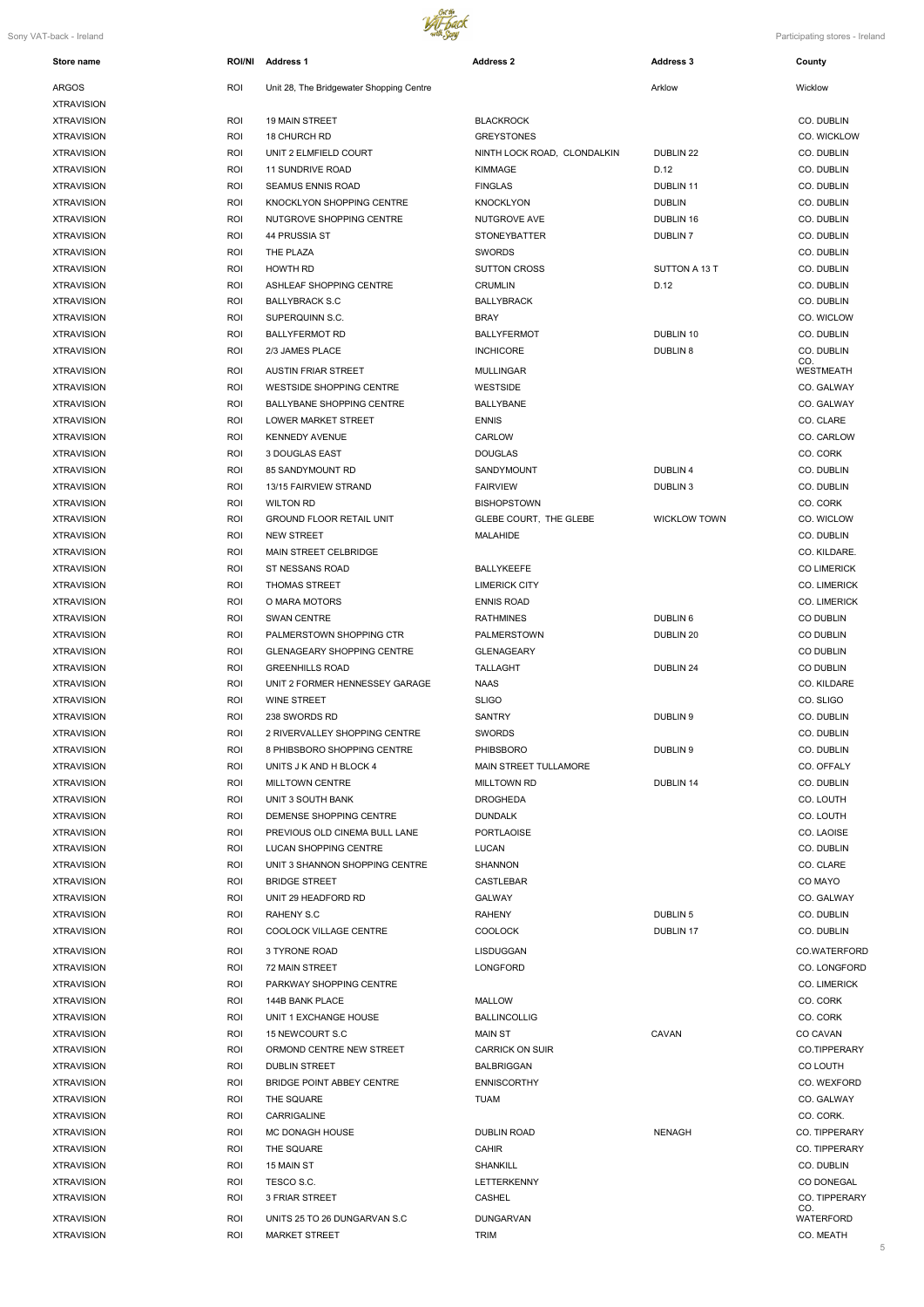

| Store name        | <b>ROI/NI</b> | <b>Address 1</b>                         | <b>Address 2</b>             | <b>Address 3</b>    | County              |
|-------------------|---------------|------------------------------------------|------------------------------|---------------------|---------------------|
| <b>ARGOS</b>      | ROI           | Unit 28, The Bridgewater Shopping Centre |                              | Arklow              | Wicklow             |
| <b>XTRAVISION</b> |               |                                          |                              |                     |                     |
| <b>XTRAVISION</b> | ROI           | <b>19 MAIN STREET</b>                    | <b>BLACKROCK</b>             |                     | CO. DUBLIN          |
| <b>XTRAVISION</b> | ROI           | 18 CHURCH RD                             | <b>GREYSTONES</b>            |                     | CO. WICKLOW         |
| <b>XTRAVISION</b> | ROI           | UNIT 2 ELMFIELD COURT                    | NINTH LOCK ROAD, CLONDALKIN  | DUBLIN 22           | CO. DUBLIN          |
| <b>XTRAVISION</b> | ROI           | <b>11 SUNDRIVE ROAD</b>                  | <b>KIMMAGE</b>               | D.12                | CO. DUBLIN          |
| <b>XTRAVISION</b> | ROI           | <b>SEAMUS ENNIS ROAD</b>                 | <b>FINGLAS</b>               | DUBLIN 11           | CO. DUBLIN          |
| <b>XTRAVISION</b> | ROI           | KNOCKLYON SHOPPING CENTRE                | <b>KNOCKLYON</b>             | <b>DUBLIN</b>       | CO. DUBLIN          |
| <b>XTRAVISION</b> | ROI           | NUTGROVE SHOPPING CENTRE                 | NUTGROVE AVE                 | DUBLIN 16           | CO. DUBLIN          |
| <b>XTRAVISION</b> | ROI           | 44 PRUSSIA ST                            | <b>STONEYBATTER</b>          | DUBLIN <sub>7</sub> | CO. DUBLIN          |
| <b>XTRAVISION</b> | ROI           | THE PLAZA                                | <b>SWORDS</b>                |                     | CO. DUBLIN          |
| <b>XTRAVISION</b> | ROI           | <b>HOWTH RD</b>                          | <b>SUTTON CROSS</b>          | SUTTON A 13 T       | CO. DUBLIN          |
| <b>XTRAVISION</b> | ROI           | ASHLEAF SHOPPING CENTRE                  | <b>CRUMLIN</b>               | D.12                | CO. DUBLIN          |
| <b>XTRAVISION</b> | ROI           | <b>BALLYBRACK S.C</b>                    | BALLYBRACK                   |                     | CO. DUBLIN          |
|                   | ROI           | SUPERQUINN S.C.                          | <b>BRAY</b>                  |                     | CO. WICLOW          |
| <b>XTRAVISION</b> |               |                                          | <b>BALLYFERMOT</b>           |                     | CO. DUBLIN          |
| <b>XTRAVISION</b> | ROI           | <b>BALLYFERMOT RD</b>                    |                              | DUBLIN 10           |                     |
| <b>XTRAVISION</b> | ROI           | 2/3 JAMES PLACE                          | <b>INCHICORE</b>             | <b>DUBLIN 8</b>     | CO. DUBLIN<br>CO.   |
| <b>XTRAVISION</b> | ROI           | <b>AUSTIN FRIAR STREET</b>               | <b>MULLINGAR</b>             |                     | <b>WESTMEATH</b>    |
| <b>XTRAVISION</b> | ROI           | WESTSIDE SHOPPING CENTRE                 | <b>WESTSIDE</b>              |                     | CO. GALWAY          |
| <b>XTRAVISION</b> | ROI           | <b>BALLYBANE SHOPPING CENTRE</b>         | <b>BALLYBANE</b>             |                     | CO. GALWAY          |
| <b>XTRAVISION</b> | ROI           | <b>LOWER MARKET STREET</b>               | <b>ENNIS</b>                 |                     | CO. CLARE           |
| <b>XTRAVISION</b> | ROI           | <b>KENNEDY AVENUE</b>                    | CARLOW                       |                     | CO. CARLOW          |
| <b>XTRAVISION</b> | ROI           | 3 DOUGLAS EAST                           | <b>DOUGLAS</b>               |                     | CO. CORK            |
| <b>XTRAVISION</b> | ROI           | 85 SANDYMOUNT RD                         | SANDYMOUNT                   | <b>DUBLIN4</b>      | CO. DUBLIN          |
| <b>XTRAVISION</b> | ROI           | 13/15 FAIRVIEW STRAND                    | <b>FAIRVIEW</b>              | <b>DUBLIN3</b>      | CO. DUBLIN          |
| <b>XTRAVISION</b> | ROI           | <b>WILTON RD</b>                         | <b>BISHOPSTOWN</b>           |                     | CO. CORK            |
| <b>XTRAVISION</b> | ROI           | <b>GROUND FLOOR RETAIL UNIT</b>          | GLEBE COURT, THE GLEBE       | <b>WICKLOW TOWN</b> | CO. WICLOW          |
| <b>XTRAVISION</b> | ROI           | <b>NEW STREET</b>                        | <b>MALAHIDE</b>              |                     | CO. DUBLIN          |
| <b>XTRAVISION</b> | ROI           | <b>MAIN STREET CELBRIDGE</b>             |                              |                     | CO. KILDARE.        |
| <b>XTRAVISION</b> | ROI           | ST NESSANS ROAD                          | <b>BALLYKEEFE</b>            |                     | <b>CO LIMERICK</b>  |
| <b>XTRAVISION</b> | ROI           | <b>THOMAS STREET</b>                     | <b>LIMERICK CITY</b>         |                     | <b>CO. LIMERICK</b> |
| <b>XTRAVISION</b> | ROI           | O MARA MOTORS                            | <b>ENNIS ROAD</b>            |                     | <b>CO. LIMERICK</b> |
| <b>XTRAVISION</b> | <b>ROI</b>    | <b>SWAN CENTRE</b>                       | RATHMINES                    | DUBLIN 6            | <b>CO DUBLIN</b>    |
| <b>XTRAVISION</b> | <b>ROI</b>    | PALMERSTOWN SHOPPING CTR                 | <b>PALMERSTOWN</b>           | DUBLIN 20           | <b>CO DUBLIN</b>    |
| <b>XTRAVISION</b> | ROI           | <b>GLENAGEARY SHOPPING CENTRE</b>        | <b>GLENAGEARY</b>            |                     | <b>CO DUBLIN</b>    |
| <b>XTRAVISION</b> | ROI           | <b>GREENHILLS ROAD</b>                   | <b>TALLAGHT</b>              | DUBLIN 24           | CO DUBLIN           |
| <b>XTRAVISION</b> | ROI           | UNIT 2 FORMER HENNESSEY GARAGE           | NAAS                         |                     | CO. KILDARE         |
| <b>XTRAVISION</b> | <b>ROI</b>    | <b>WINE STREET</b>                       | <b>SLIGO</b>                 |                     | CO. SLIGO           |
|                   |               |                                          |                              |                     |                     |
| <b>XTRAVISION</b> | ROI           | 238 SWORDS RD                            | SANTRY                       | DUBLIN 9            | CO. DUBLIN          |
| <b>XTRAVISION</b> | ROI           | 2 RIVERVALLEY SHOPPING CENTRE            | <b>SWORDS</b>                |                     | CO. DUBLIN          |
| <b>XTRAVISION</b> | <b>ROI</b>    | 8 PHIBSBORO SHOPPING CENTRE              | <b>PHIBSBORO</b>             | DUBLIN 9            | CO. DUBLIN          |
| <b>XTRAVISION</b> | ROI           | UNITS J K AND H BLOCK 4                  | <b>MAIN STREET TULLAMORE</b> |                     | CO. OFFALY          |
| <b>XTRAVISION</b> | ROI           | <b>MILLTOWN CENTRE</b>                   | <b>MILLTOWN RD</b>           | DUBLIN 14           | CO. DUBLIN          |
| <b>XTRAVISION</b> | ROI           | UNIT 3 SOUTH BANK                        | <b>DROGHEDA</b>              |                     | CO. LOUTH           |
| <b>XTRAVISION</b> | <b>ROI</b>    | DEMENSE SHOPPING CENTRE                  | <b>DUNDALK</b>               |                     | CO. LOUTH           |
| <b>XTRAVISION</b> | ROI           | PREVIOUS OLD CINEMA BULL LANE            | <b>PORTLAOISE</b>            |                     | CO. LAOISE          |
| <b>XTRAVISION</b> | ROI           | LUCAN SHOPPING CENTRE                    | LUCAN                        |                     | CO. DUBLIN          |
| <b>XTRAVISION</b> | ROI           | UNIT 3 SHANNON SHOPPING CENTRE           | SHANNON                      |                     | CO. CLARE           |
| <b>XTRAVISION</b> | <b>ROI</b>    | <b>BRIDGE STREET</b>                     | <b>CASTLEBAR</b>             |                     | CO MAYO             |
| <b>XTRAVISION</b> | ROI           | UNIT 29 HEADFORD RD                      | <b>GALWAY</b>                |                     | CO. GALWAY          |
| <b>XTRAVISION</b> | <b>ROI</b>    | RAHENY S.C                               | <b>RAHENY</b>                | DUBLIN <sub>5</sub> | CO. DUBLIN          |
| <b>XTRAVISION</b> | <b>ROI</b>    | COOLOCK VILLAGE CENTRE                   | <b>COOLOCK</b>               | DUBLIN 17           | CO. DUBLIN          |
| <b>XTRAVISION</b> | <b>ROI</b>    | 3 TYRONE ROAD                            | LISDUGGAN                    |                     | CO.WATERFORD        |
| <b>XTRAVISION</b> | <b>ROI</b>    | 72 MAIN STREET                           | LONGFORD                     |                     | <b>CO. LONGFORD</b> |
| <b>XTRAVISION</b> | <b>ROI</b>    | PARKWAY SHOPPING CENTRE                  |                              |                     | <b>CO. LIMERICK</b> |
| <b>XTRAVISION</b> | <b>ROI</b>    | 144B BANK PLACE                          | <b>MALLOW</b>                |                     | CO. CORK            |
| <b>XTRAVISION</b> | ROI           | UNIT 1 EXCHANGE HOUSE                    | <b>BALLINCOLLIG</b>          |                     | CO. CORK            |
| <b>XTRAVISION</b> | ROI           | 15 NEWCOURT S.C                          | MAIN ST                      | CAVAN               | CO CAVAN            |
| <b>XTRAVISION</b> | ROI           | ORMOND CENTRE NEW STREET                 | <b>CARRICK ON SUIR</b>       |                     | CO.TIPPERARY        |
| <b>XTRAVISION</b> | <b>ROI</b>    | <b>DUBLIN STREET</b>                     | BALBRIGGAN                   |                     | CO LOUTH            |
| <b>XTRAVISION</b> | <b>ROI</b>    | BRIDGE POINT ABBEY CENTRE                | <b>ENNISCORTHY</b>           |                     | CO. WEXFORD         |
| <b>XTRAVISION</b> | <b>ROI</b>    | THE SQUARE                               | TUAM                         |                     | CO. GALWAY          |
| <b>XTRAVISION</b> | <b>ROI</b>    | CARRIGALINE                              |                              |                     | CO. CORK.           |
| <b>XTRAVISION</b> | <b>ROI</b>    | MC DONAGH HOUSE                          | DUBLIN ROAD                  | <b>NENAGH</b>       | CO. TIPPERARY       |
| <b>XTRAVISION</b> | <b>ROI</b>    | THE SQUARE                               | <b>CAHIR</b>                 |                     | CO. TIPPERARY       |
| <b>XTRAVISION</b> | <b>ROI</b>    | 15 MAIN ST                               | <b>SHANKILL</b>              |                     | CO. DUBLIN          |
| <b>XTRAVISION</b> | <b>ROI</b>    | TESCO S.C.                               | LETTERKENNY                  |                     | CO DONEGAL          |
| <b>XTRAVISION</b> | <b>ROI</b>    | 3 FRIAR STREET                           | CASHEL                       |                     | CO. TIPPERARY       |
|                   |               |                                          |                              |                     | CO.                 |
| <b>XTRAVISION</b> | <b>ROI</b>    | UNITS 25 TO 26 DUNGARVAN S.C             | <b>DUNGARVAN</b>             |                     | <b>WATERFORD</b>    |
| <b>XTRAVISION</b> | <b>ROI</b>    | <b>MARKET STREET</b>                     | <b>TRIM</b>                  |                     | CO. MEATH           |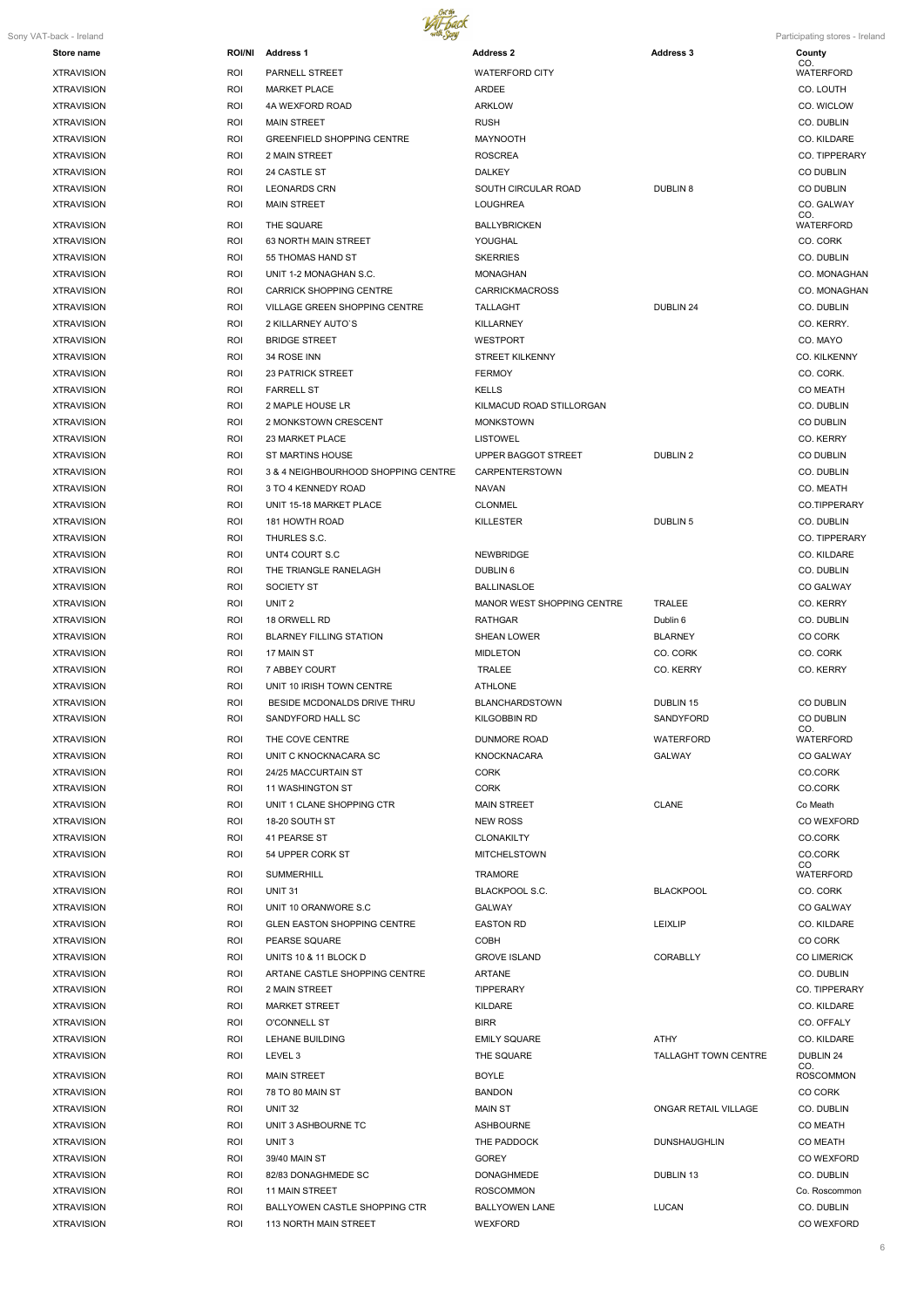

|  |  | Participating stores - Irelano |  |  |
|--|--|--------------------------------|--|--|
|  |  |                                |  |  |

| Sony VAT-back - Ireland |               |                                      |                            |                             | Participating stores - Ireland |
|-------------------------|---------------|--------------------------------------|----------------------------|-----------------------------|--------------------------------|
| Store name              | <b>ROI/NI</b> | <b>Address 1</b>                     | <b>Address 2</b>           | <b>Address 3</b>            | County<br>CO.                  |
| <b>XTRAVISION</b>       | ROI           | PARNELL STREET                       | <b>WATERFORD CITY</b>      |                             | <b>WATERFORD</b>               |
| <b>XTRAVISION</b>       | ROI           | <b>MARKET PLACE</b>                  | ARDEE                      |                             | CO. LOUTH                      |
| <b>XTRAVISION</b>       | <b>ROI</b>    | 4A WEXFORD ROAD                      | <b>ARKLOW</b>              |                             | CO. WICLOW                     |
| <b>XTRAVISION</b>       | ROI           | <b>MAIN STREET</b>                   | <b>RUSH</b>                |                             | CO. DUBLIN                     |
| <b>XTRAVISION</b>       | ROI           | <b>GREENFIELD SHOPPING CENTRE</b>    | MAYNOOTH                   |                             | CO. KILDARE                    |
| <b>XTRAVISION</b>       | ROI           | 2 MAIN STREET                        | <b>ROSCREA</b>             |                             | CO. TIPPERARY                  |
| <b>XTRAVISION</b>       | <b>ROI</b>    | 24 CASTLE ST                         | <b>DALKEY</b>              |                             | <b>CO DUBLIN</b>               |
| <b>XTRAVISION</b>       | ROI           | <b>LEONARDS CRN</b>                  | SOUTH CIRCULAR ROAD        | <b>DUBLIN 8</b>             | <b>CO DUBLIN</b>               |
| <b>XTRAVISION</b>       | ROI           | <b>MAIN STREET</b>                   | <b>LOUGHREA</b>            |                             | CO. GALWAY<br>CO.              |
| <b>XTRAVISION</b>       | <b>ROI</b>    | THE SQUARE                           | <b>BALLYBRICKEN</b>        |                             | <b>WATERFORD</b>               |
| <b>XTRAVISION</b>       | <b>ROI</b>    | 63 NORTH MAIN STREET                 | YOUGHAL                    |                             | CO. CORK                       |
| <b>XTRAVISION</b>       | <b>ROI</b>    | 55 THOMAS HAND ST                    | <b>SKERRIES</b>            |                             | CO. DUBLIN                     |
| <b>XTRAVISION</b>       | <b>ROI</b>    | UNIT 1-2 MONAGHAN S.C.               | <b>MONAGHAN</b>            |                             | CO. MONAGHAN                   |
| <b>XTRAVISION</b>       | <b>ROI</b>    | <b>CARRICK SHOPPING CENTRE</b>       | <b>CARRICKMACROSS</b>      |                             | CO. MONAGHAN                   |
| <b>XTRAVISION</b>       | ROI           | VILLAGE GREEN SHOPPING CENTRE        | TALLAGHT                   | DUBLIN 24                   | CO. DUBLIN                     |
| <b>XTRAVISION</b>       | <b>ROI</b>    | 2 KILLARNEY AUTO'S                   | KILLARNEY                  |                             | CO. KERRY.                     |
| <b>XTRAVISION</b>       | <b>ROI</b>    | <b>BRIDGE STREET</b>                 | <b>WESTPORT</b>            |                             | CO. MAYO                       |
| <b>XTRAVISION</b>       | ROI           | 34 ROSE INN                          | <b>STREET KILKENNY</b>     |                             | CO. KILKENNY                   |
| <b>XTRAVISION</b>       | ROI           | <b>23 PATRICK STREET</b>             | <b>FERMOY</b>              |                             | CO. CORK.                      |
| <b>XTRAVISION</b>       | <b>ROI</b>    | <b>FARRELL ST</b>                    | <b>KELLS</b>               |                             | <b>CO MEATH</b>                |
| <b>XTRAVISION</b>       | <b>ROI</b>    | 2 MAPLE HOUSE LR                     | KILMACUD ROAD STILLORGAN   |                             | CO. DUBLIN                     |
| <b>XTRAVISION</b>       | ROI           | 2 MONKSTOWN CRESCENT                 | <b>MONKSTOWN</b>           |                             | CO DUBLIN                      |
| <b>XTRAVISION</b>       | ROI           | 23 MARKET PLACE                      | <b>LISTOWEL</b>            |                             | CO. KERRY                      |
| <b>XTRAVISION</b>       | <b>ROI</b>    | <b>ST MARTINS HOUSE</b>              | UPPER BAGGOT STREET        | <b>DUBLIN 2</b>             | CO DUBLIN                      |
| <b>XTRAVISION</b>       | ROI           | 3 & 4 NEIGHBOURHOOD SHOPPING CENTRE  | <b>CARPENTERSTOWN</b>      |                             | CO. DUBLIN                     |
| <b>XTRAVISION</b>       | ROI           | 3 TO 4 KENNEDY ROAD                  | NAVAN                      |                             | CO. MEATH                      |
| <b>XTRAVISION</b>       | <b>ROI</b>    | UNIT 15-18 MARKET PLACE              | <b>CLONMEL</b>             |                             | CO.TIPPERARY                   |
| <b>XTRAVISION</b>       | <b>ROI</b>    | 181 HOWTH ROAD                       | <b>KILLESTER</b>           | DUBLIN <sub>5</sub>         | CO. DUBLIN                     |
| <b>XTRAVISION</b>       | ROI           | THURLES S.C.                         |                            |                             | CO. TIPPERARY                  |
| <b>XTRAVISION</b>       | <b>ROI</b>    | UNT4 COURT S.C                       | <b>NEWBRIDGE</b>           |                             | CO. KILDARE                    |
| <b>XTRAVISION</b>       | ROI           | THE TRIANGLE RANELAGH                | DUBLIN 6                   |                             | CO. DUBLIN                     |
| <b>XTRAVISION</b>       | ROI           | SOCIETY ST                           | <b>BALLINASLOE</b>         |                             | CO GALWAY                      |
| <b>XTRAVISION</b>       | <b>ROI</b>    | UNIT <sub>2</sub>                    | MANOR WEST SHOPPING CENTRE | TRALEE                      | CO. KERRY                      |
| <b>XTRAVISION</b>       | <b>ROI</b>    | 18 ORWELL RD                         | <b>RATHGAR</b>             | Dublin 6                    | CO. DUBLIN                     |
| <b>XTRAVISION</b>       | ROI           | <b>BLARNEY FILLING STATION</b>       | <b>SHEAN LOWER</b>         | <b>BLARNEY</b>              | CO CORK                        |
| <b>XTRAVISION</b>       | ROI           | 17 MAIN ST                           | <b>MIDLETON</b>            | CO. CORK                    | CO. CORK                       |
| <b>XTRAVISION</b>       | ROI           | 7 ABBEY COURT                        | <b>TRALEE</b>              | CO. KERRY                   | CO. KERRY                      |
| <b>XTRAVISION</b>       | <b>ROI</b>    | UNIT 10 IRISH TOWN CENTRE            | <b>ATHLONE</b>             |                             |                                |
| <b>XTRAVISION</b>       | ROI           | BESIDE MCDONALDS DRIVE THRU          | <b>BLANCHARDSTOWN</b>      | DUBLIN 15                   | CO DUBLIN                      |
| <b>XTRAVISION</b>       | <b>ROI</b>    | SANDYFORD HALL SC                    | KILGOBBIN RD               | SANDYFORD                   | CO DUBLIN<br>CO.               |
| <b>XTRAVISION</b>       | ROI           | THE COVE CENTRE                      | DUNMORE ROAD               | WATERFORD                   | <b>WATERFORD</b>               |
| <b>XTRAVISION</b>       | ROI           | UNIT C KNOCKNACARA SC                | <b>KNOCKNACARA</b>         | <b>GALWAY</b>               | <b>CO GALWAY</b>               |
| <b>XTRAVISION</b>       | <b>ROI</b>    | 24/25 MACCURTAIN ST                  | <b>CORK</b>                |                             | CO.CORK                        |
| <b>XTRAVISION</b>       | ROI           | 11 WASHINGTON ST                     | <b>CORK</b>                |                             | CO.CORK                        |
| <b>XTRAVISION</b>       | ROI           | UNIT 1 CLANE SHOPPING CTR            | <b>MAIN STREET</b>         | <b>CLANE</b>                | Co Meath                       |
| <b>XTRAVISION</b>       | ROI           | 18-20 SOUTH ST                       | <b>NEW ROSS</b>            |                             | CO WEXFORD                     |
| <b>XTRAVISION</b>       | <b>ROI</b>    | 41 PEARSE ST                         | CLONAKILTY                 |                             | CO.CORK                        |
| <b>XTRAVISION</b>       | ROI           | 54 UPPER CORK ST                     | <b>MITCHELSTOWN</b>        |                             | CO.CORK                        |
| <b>XTRAVISION</b>       | ROI           | <b>SUMMERHILL</b>                    | <b>TRAMORE</b>             |                             | CO.<br><b>WATERFORD</b>        |
| <b>XTRAVISION</b>       | <b>ROI</b>    | <b>UNIT 31</b>                       | <b>BLACKPOOL S.C.</b>      | <b>BLACKPOOL</b>            | CO. CORK                       |
| <b>XTRAVISION</b>       | ROI           | UNIT 10 ORANWORE S.C                 | GALWAY                     |                             | <b>CO GALWAY</b>               |
| <b>XTRAVISION</b>       | ROI           | <b>GLEN EASTON SHOPPING CENTRE</b>   | <b>EASTON RD</b>           | <b>LEIXLIP</b>              | CO. KILDARE                    |
| <b>XTRAVISION</b>       | ROI           | <b>PEARSE SQUARE</b>                 | COBH                       |                             | CO CORK                        |
| <b>XTRAVISION</b>       | ROI           | UNITS 10 & 11 BLOCK D                | <b>GROVE ISLAND</b>        | <b>CORABLLY</b>             | <b>CO LIMERICK</b>             |
| <b>XTRAVISION</b>       | ROI           | ARTANE CASTLE SHOPPING CENTRE        | <b>ARTANE</b>              |                             | CO. DUBLIN                     |
| <b>XTRAVISION</b>       | ROI           | 2 MAIN STREET                        | <b>TIPPERARY</b>           |                             | CO. TIPPERARY                  |
| <b>XTRAVISION</b>       | ROI           | <b>MARKET STREET</b>                 | KILDARE                    |                             | CO. KILDARE                    |
| <b>XTRAVISION</b>       | ROI           | <b>O'CONNELL ST</b>                  | <b>BIRR</b>                |                             | CO. OFFALY                     |
| <b>XTRAVISION</b>       | ROI           | LEHANE BUILDING                      | <b>EMILY SQUARE</b>        | ATHY                        | CO. KILDARE                    |
| <b>XTRAVISION</b>       | ROI           | LEVEL 3                              | THE SQUARE                 | <b>TALLAGHT TOWN CENTRE</b> | DUBLIN 24                      |
| <b>XTRAVISION</b>       | ROI           | <b>MAIN STREET</b>                   | <b>BOYLE</b>               |                             | CO.<br><b>ROSCOMMON</b>        |
| <b>XTRAVISION</b>       | ROI           | 78 TO 80 MAIN ST                     | <b>BANDON</b>              |                             | CO CORK                        |
| <b>XTRAVISION</b>       | ROI           | <b>UNIT 32</b>                       | MAIN ST                    | ONGAR RETAIL VILLAGE        | CO. DUBLIN                     |
| <b>XTRAVISION</b>       | ROI           | UNIT 3 ASHBOURNE TC                  | <b>ASHBOURNE</b>           |                             | <b>CO MEATH</b>                |
| <b>XTRAVISION</b>       | ROI           | UNIT <sub>3</sub>                    | THE PADDOCK                | <b>DUNSHAUGHLIN</b>         | <b>CO MEATH</b>                |
| <b>XTRAVISION</b>       | <b>ROI</b>    | 39/40 MAIN ST                        | <b>GOREY</b>               |                             | CO WEXFORD                     |
| <b>XTRAVISION</b>       | ROI           | 82/83 DONAGHMEDE SC                  | <b>DONAGHMEDE</b>          | <b>DUBLIN 13</b>            | CO. DUBLIN                     |
| <b>XTRAVISION</b>       | <b>ROI</b>    | <b>11 MAIN STREET</b>                | <b>ROSCOMMON</b>           |                             | Co. Roscommon                  |
| <b>XTRAVISION</b>       | <b>ROI</b>    | <b>BALLYOWEN CASTLE SHOPPING CTR</b> | <b>BALLYOWEN LANE</b>      | <b>LUCAN</b>                | CO. DUBLIN                     |
| <b>XTRAVISION</b>       | ROI           | 113 NORTH MAIN STREET                | <b>WEXFORD</b>             |                             | CO WEXFORD                     |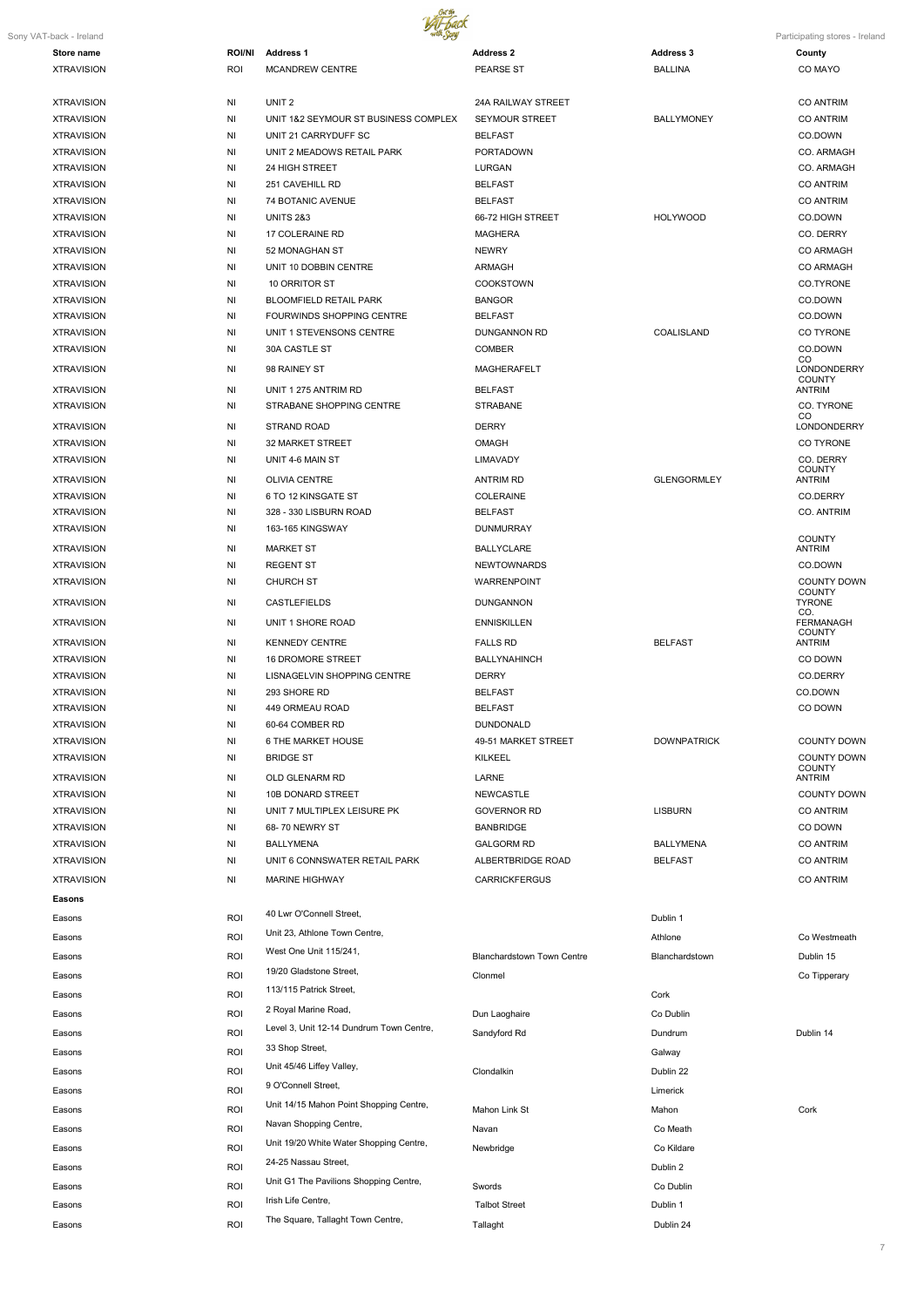

7

| Sony VAT-back - Ireland                |               |                                          |                                   |                    | Participating stores - Ireland |
|----------------------------------------|---------------|------------------------------------------|-----------------------------------|--------------------|--------------------------------|
| Store name                             | <b>ROI/NI</b> | <b>Address 1</b>                         | <b>Address 2</b>                  | <b>Address 3</b>   | County                         |
| <b>XTRAVISION</b>                      | <b>ROI</b>    | <b>MCANDREW CENTRE</b>                   | <b>PEARSE ST</b>                  | <b>BALLINA</b>     | CO MAYO                        |
| <b>XTRAVISION</b>                      | ΝI            | UNIT <sub>2</sub>                        | 24A RAILWAY STREET                |                    | <b>CO ANTRIM</b>               |
| <b>XTRAVISION</b>                      | NI            | UNIT 1&2 SEYMOUR ST BUSINESS COMPLEX     | <b>SEYMOUR STREET</b>             | <b>BALLYMONEY</b>  | <b>CO ANTRIM</b>               |
| <b>XTRAVISION</b>                      | NI            | UNIT 21 CARRYDUFF SC                     | <b>BELFAST</b>                    |                    | CO.DOWN                        |
| <b>XTRAVISION</b>                      | NI            | UNIT 2 MEADOWS RETAIL PARK               | <b>PORTADOWN</b>                  |                    | CO. ARMAGH                     |
| <b>XTRAVISION</b>                      | NI            | 24 HIGH STREET                           | LURGAN                            |                    | CO. ARMAGH                     |
| <b>XTRAVISION</b>                      | NI            | 251 CAVEHILL RD                          | <b>BELFAST</b>                    |                    | <b>CO ANTRIM</b>               |
| <b>XTRAVISION</b>                      | NI            | 74 BOTANIC AVENUE                        | <b>BELFAST</b>                    |                    | <b>CO ANTRIM</b>               |
| <b>XTRAVISION</b>                      | NI            | <b>UNITS 2&amp;3</b>                     | 66-72 HIGH STREET                 | <b>HOLYWOOD</b>    | CO.DOWN                        |
| <b>XTRAVISION</b>                      | NI            | 17 COLERAINE RD                          | <b>MAGHERA</b>                    |                    | CO. DERRY                      |
| <b>XTRAVISION</b>                      | NI            | 52 MONAGHAN ST                           | <b>NEWRY</b>                      |                    | <b>CO ARMAGH</b>               |
| <b>XTRAVISION</b>                      | NI            | UNIT 10 DOBBIN CENTRE                    | ARMAGH                            |                    | <b>CO ARMAGH</b>               |
| <b>XTRAVISION</b>                      | NI            | 10 ORRITOR ST                            | <b>COOKSTOWN</b>                  |                    | CO.TYRONE                      |
| <b>XTRAVISION</b>                      | NI            | <b>BLOOMFIELD RETAIL PARK</b>            | <b>BANGOR</b>                     |                    | CO.DOWN                        |
| <b>XTRAVISION</b>                      | NI            | FOURWINDS SHOPPING CENTRE                | <b>BELFAST</b>                    |                    | CO.DOWN                        |
| <b>XTRAVISION</b>                      | NI            | UNIT 1 STEVENSONS CENTRE                 | DUNGANNON RD                      | COALISLAND         | CO TYRONE                      |
| <b>XTRAVISION</b>                      | NI            | 30A CASTLE ST                            | <b>COMBER</b>                     |                    | CO.DOWN<br>CO.                 |
| <b>XTRAVISION</b>                      | ΝI            | 98 RAINEY ST                             | <b>MAGHERAFELT</b>                |                    | LONDONDERRY<br>COUNTY          |
| <b>XTRAVISION</b>                      | NI            | UNIT 1 275 ANTRIM RD                     | <b>BELFAST</b>                    |                    | <b>ANTRIM</b>                  |
| <b>XTRAVISION</b>                      | NI            | STRABANE SHOPPING CENTRE                 | <b>STRABANE</b>                   |                    | CO. TYRONE                     |
| <b>XTRAVISION</b>                      | NI            | STRAND ROAD                              | <b>DERRY</b>                      |                    | CO<br>LONDONDERRY              |
| <b>XTRAVISION</b>                      | NI            | 32 MARKET STREET                         | OMAGH                             |                    | CO TYRONE                      |
| <b>XTRAVISION</b>                      | ΝI            | UNIT 4-6 MAIN ST                         | <b>LIMAVADY</b>                   |                    | CO. DERRY                      |
| <b>XTRAVISION</b>                      | NI            | <b>OLIVIA CENTRE</b>                     | <b>ANTRIM RD</b>                  | <b>GLENGORMLEY</b> | <b>COUNTY</b><br><b>ANTRIM</b> |
| <b>XTRAVISION</b>                      | ΝI            | 6 TO 12 KINSGATE ST                      | COLERAINE                         |                    | CO.DERRY                       |
| <b>XTRAVISION</b>                      | NI            | 328 - 330 LISBURN ROAD                   | <b>BELFAST</b>                    |                    | CO. ANTRIM                     |
| <b>XTRAVISION</b>                      | NI            | 163-165 KINGSWAY                         | <b>DUNMURRAY</b>                  |                    |                                |
| <b>XTRAVISION</b>                      | NI            | <b>MARKET ST</b>                         | <b>BALLYCLARE</b>                 |                    | <b>COUNTY</b><br><b>ANTRIM</b> |
| <b>XTRAVISION</b>                      | NI            | <b>REGENT ST</b>                         | <b>NEWTOWNARDS</b>                |                    | CO.DOWN                        |
| <b>XTRAVISION</b>                      | NI            | <b>CHURCH ST</b>                         | <b>WARRENPOINT</b>                |                    | <b>COUNTY DOWN</b>             |
| <b>XTRAVISION</b>                      | ΝI            | <b>CASTLEFIELDS</b>                      | DUNGANNON                         |                    | <b>COUNTY</b><br><b>TYRONE</b> |
| <b>XTRAVISION</b>                      | NI            | UNIT 1 SHORE ROAD                        | <b>ENNISKILLEN</b>                |                    | CO.<br><b>FERMANAGH</b>        |
|                                        |               |                                          |                                   |                    | <b>COUNTY</b>                  |
| <b>XTRAVISION</b>                      | NI            | <b>KENNEDY CENTRE</b>                    | <b>FALLS RD</b>                   | <b>BELFAST</b>     | <b>ANTRIM</b>                  |
| <b>XTRAVISION</b>                      | ΝI            | <b>16 DROMORE STREET</b>                 | <b>BALLYNAHINCH</b>               |                    | CO DOWN                        |
| <b>XTRAVISION</b><br><b>XTRAVISION</b> | ΝI            | LISNAGELVIN SHOPPING CENTRE              | <b>DERRY</b><br><b>BELFAST</b>    |                    | CO.DERRY<br>CO.DOWN            |
| <b>XTRAVISION</b>                      | NI<br>NI      | 293 SHORE RD<br>449 ORMEAU ROAD          | <b>BELFAST</b>                    |                    | CO DOWN                        |
| <b>XTRAVISION</b>                      | ΝI            | 60-64 COMBER RD                          | <b>DUNDONALD</b>                  |                    |                                |
| <b>XTRAVISION</b>                      | ΝI            | 6 THE MARKET HOUSE                       | 49-51 MARKET STREET               | <b>DOWNPATRICK</b> | <b>COUNTY DOWN</b>             |
| <b>XTRAVISION</b>                      | ΝI            | <b>BRIDGE ST</b>                         | KILKEEL                           |                    | <b>COUNTY DOWN</b>             |
| <b>XTRAVISION</b>                      | ΝI            | OLD GLENARM RD                           | LARNE                             |                    | <b>COUNTY</b><br><b>ANTRIM</b> |
| <b>XTRAVISION</b>                      | ΝI            | 10B DONARD STREET                        | <b>NEWCASTLE</b>                  |                    | <b>COUNTY DOWN</b>             |
| <b>XTRAVISION</b>                      | ΝI            | UNIT 7 MULTIPLEX LEISURE PK              | <b>GOVERNOR RD</b>                | <b>LISBURN</b>     | <b>CO ANTRIM</b>               |
| <b>XTRAVISION</b>                      | NI            | 68-70 NEWRY ST                           | <b>BANBRIDGE</b>                  |                    | CO DOWN                        |
| <b>XTRAVISION</b>                      | NI            | <b>BALLYMENA</b>                         | <b>GALGORM RD</b>                 | <b>BALLYMENA</b>   | <b>CO ANTRIM</b>               |
| <b>XTRAVISION</b>                      | ΝI            | UNIT 6 CONNSWATER RETAIL PARK            | ALBERTBRIDGE ROAD                 | <b>BELFAST</b>     | <b>CO ANTRIM</b>               |
| <b>XTRAVISION</b>                      | ΝI            | <b>MARINE HIGHWAY</b>                    | <b>CARRICKFERGUS</b>              |                    | <b>CO ANTRIM</b>               |
| <b>Easons</b>                          |               |                                          |                                   |                    |                                |
|                                        | <b>ROI</b>    | 40 Lwr O'Connell Street,                 |                                   | Dublin 1           |                                |
| Easons                                 |               | Unit 23, Athlone Town Centre,            |                                   |                    |                                |
| Easons                                 | ROI           | West One Unit 115/241,                   |                                   | Athlone            | Co Westmeath                   |
| Easons                                 | ROI           |                                          | <b>Blanchardstown Town Centre</b> | Blanchardstown     | Dublin 15                      |
| Easons                                 | ROI           | 19/20 Gladstone Street,                  | Clonmel                           |                    | Co Tipperary                   |
| Easons                                 | ROI           | 113/115 Patrick Street,                  |                                   | Cork               |                                |
| Easons                                 | ROI           | 2 Royal Marine Road,                     | Dun Laoghaire                     | Co Dublin          |                                |
| Easons                                 | ROI           | Level 3, Unit 12-14 Dundrum Town Centre, | Sandyford Rd                      | Dundrum            | Dublin 14                      |
| Easons                                 | ROI           | 33 Shop Street,                          |                                   | Galway             |                                |
| Easons                                 | ROI           | Unit 45/46 Liffey Valley,                | Clondalkin                        | Dublin 22          |                                |
|                                        | ROI           | 9 O'Connell Street,                      |                                   | Limerick           |                                |
| Easons                                 |               | Unit 14/15 Mahon Point Shopping Centre,  |                                   |                    |                                |
| Easons                                 | ROI           | Navan Shopping Centre,                   | Mahon Link St                     | Mahon              | Cork                           |
| Easons                                 | ROI           |                                          | Navan                             | Co Meath           |                                |
| Easons                                 | ROI           | Unit 19/20 White Water Shopping Centre,  | Newbridge                         | Co Kildare         |                                |
| Easons                                 | ROI           | 24-25 Nassau Street,                     |                                   | Dublin 2           |                                |
| Easons                                 | ROI           | Unit G1 The Pavilions Shopping Centre,   | Swords                            | Co Dublin          |                                |
| Easons                                 | ROI           | Irish Life Centre,                       | <b>Talbot Street</b>              | Dublin 1           |                                |
| Easons                                 | ROI           | The Square, Tallaght Town Centre,        | Tallaght                          | Dublin 24          |                                |
|                                        |               |                                          |                                   |                    |                                |